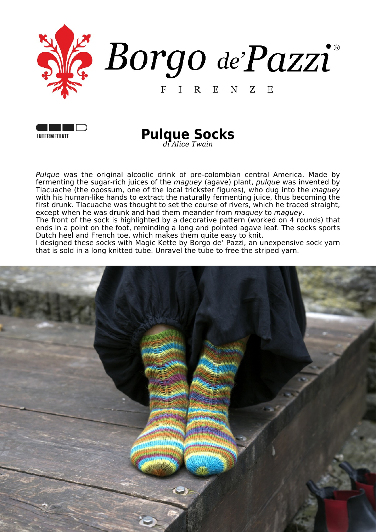





*Pulque* was the original alcoolic drink of pre-colombian central America. Made by fermenting the sugar-rich juices of the *maguey* (agave) plant, *pulque* was invented by Tlacuache (the opossum, one of the local trickster figures), who dug into the *maguey* with his human-like hands to extract the naturally fermenting juice, thus becoming the first drunk. Tlacuache was thought to set the course of rivers, which he traced straight, except when he was drunk and had them meander from *maguey* to *maguey*.

The front of the sock is highlighted by a decorative pattern (worked on 4 rounds) that ends in a point on the foot, reminding a long and pointed agave leaf. The socks sports Dutch heel and French toe, which makes them quite easy to knit.

I designed these socks with Magic Kette by Borgo de' Pazzi, an unexpensive sock yarn that is sold in a long knitted tube. Unravel the tube to free the striped yarn.

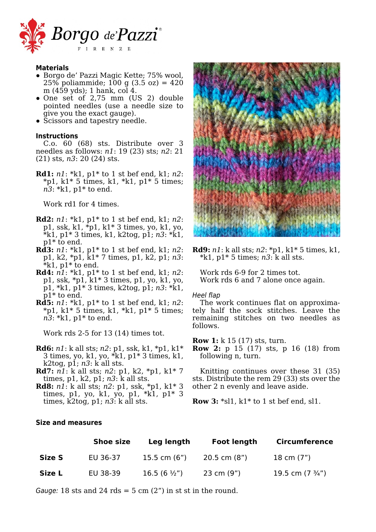

#### **Materials**

- Borgo de' Pazzi Magic Kette; 75% wool, 25% poliammide; 100 g  $(3.5 \text{ oz}) = 420$ m (459 yds); 1 hank, col 4.
- One set of 2,75 mm (US 2) double pointed needles (use a needle size to give you the exact gauge).
- Scissors and tapestry needle.

#### **Instructions**

C.o. 60 (68) sts. Distribute over 3 needles as follows: *n1*: 19 (23) sts; *n2*: 21 (21) sts, *n3*: 20 (24) sts.

**Rd1:** *n1*: \*k1, p1\* to 1 st bef end, k1; *n2*:  $*pi, k1*5 \text{ times}, k1, *k1, p1*5 \text{ times};$ *n3*: \*k1, p1\* to end.

Work rd1 for 4 times.

- **Rd2:** *n1*: \*k1, p1\* to 1 st bef end, k1; *n2*: p1, ssk, k1, \*p1, k1\* 3 times, yo, k1, yo, \*k1, p1\* 3 times, k1, k2tog, p1; *n3*: \*k1, p1\* to end.
- **Rd3:** *n1*: \*k1, p1\* to 1 st bef end, k1; *n2*: p1, k2, \*p1, k1\* 7 times, p1, k2, p1; *n3*:  $*k1$ , p1 $*$  to end.
- **Rd4:** *n1*: \*k1, p1\* to 1 st bef end, k1; *n2*: p1, ssk, \*p1, k1\* 3 times, p1, yo, k1, yo, p1, \*k1, p1\* 3 times, k2tog, p1; *n3*: \*k1, p1\* to end.
- **Rd5:** *n1*: \*k1, p1\* to 1 st bef end, k1; *n2*:  $*pi$ , k1\* 5 times, k1, \*k1, p1\* 5 times; *n3*: \*k1, p1\* to end.

Work rds 2-5 for 13 (14) times tot.

- **Rd6:** *n1*: k all sts; *n2*: p1, ssk, k1, \*p1, k1\* 3 times, yo, k1, yo, \*k1, p1\* 3 times, k1, k2tog, p1; *n3*: k all sts.
- **Rd7:** *n1*: k all sts; *n2*: p1, k2, \*p1, k1\* 7 times, p1, k2, p1; *n3*: k all sts.
- **Rd8:** *n1*: k all sts; *n2*: p1, ssk, \*p1, k1\* 3 times, p1, yo, k1, yo, p1, \*k1, p1\* 3 times, k2tog, p1; *n3*: k all sts.

# **Size and measures**



**Rd9:** *n1*: k all sts; *n2*: \*p1, k1\* 5 times, k1, \*k1, p1\* 5 times; *n3*: k all sts.

Work rds 6-9 for 2 times tot. Work rds 6 and 7 alone once again.

#### *Heel flap*

The work continues flat on approximately half the sock stitches. Leave the remaining stitches on two needles as follows.

**Row 1:** k 15 (17) sts, turn.

**Row 2:** p 15 (17) sts, p 16 (18) from following n, turn.

Knitting continues over these 31 (35) sts. Distribute the rem 29 (33) sts over the other 2 n evenly and leave aside.

**Row 3:** \*sl1, k1\* to 1 st bef end, sl1.

|        | <b>Shoe size</b> | Leg length            | <b>Foot length</b> | <b>Circumference</b>      |
|--------|------------------|-----------------------|--------------------|---------------------------|
| Size S | EU 36-37         | 15.5 cm $(6")$        | $20.5$ cm $(8")$   | 18 cm (7")                |
| Size L | EU 38-39         | $16.5(6 \frac{1}{2})$ | 23 cm (9")         | 19.5 cm $(7 \frac{3}{4})$ |

*Gauge:* 18 sts and 24 rds  $=$  5 cm  $(2<sup>n</sup>)$  in st st in the round.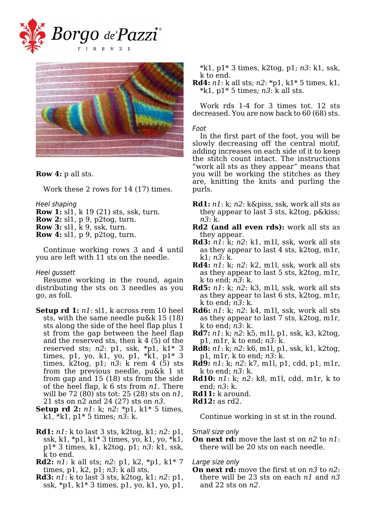



**Row 4:** p all sts.

Work these 2 rows for 14 (17) times.

*Heel shaping*

- **Row 1:** sl1, k 19 (21) sts, ssk, turn.
- **Row 2:** sl1, p 9, p2tog, turn.
- **Row 3:** sl1, k 9, ssk, turn.
- **Row 4:** sl1, p 9, p2tog, turn.

Continue working rows 3 and 4 until you are left with 11 sts on the needle.

# *Heel gussett*

Resume working in the round, again distributing the sts on 3 needles as you go, as foll.

- **Setup rd 1:** *n1*: sl1, k across rem 10 heel sts, with the same needle pu&k 15 (18) sts along the side of the heel flap plus 1 st from the gap between the heel flap and the reserved sts, then k 4 (5) of the reserved sts; *n2*: p1, ssk, \*p1, k1\* 3 times, p1, yo, k1, yo, p1, \*k1, p1\* 3 times, k2tog, p1; *n3*: k rem 4 (5) sts from the previous needle, pu&k 1 st from gap and 15 (18) sts from the side of the heel flap, k 6 sts from *n1*. There will be 72 (80) sts tot: 25 (28) sts on *n1*, 21 sts on n2 and 24 (27) sts on *n3*.
- **Setup rd 2:** *n1*: k; *n2*: \*p1, k1\* 5 times, k1, \*k1, p1\* 5 times; *n3*: k.
- **Rd1:** *n1*: k to last 3 sts, k2tog, k1; *n2*: p1, ssk, k1, \*p1, k1\* 3 times, yo, k1, yo, \*k1, p1\* 3 times, k1, k2tog, p1; *n3*: k1, ssk, k to end.
- **Rd2:** *n1*: k all sts; *n2*: p1, k2, \*p1, k1\* 7 times, p1, k2, p1; *n3*: k all sts.
- **Rd3:** *n1*: k to last 3 sts, k2tog, k1; *n2*: p1, ssk, \*p1, k1\* 3 times, p1, yo, k1, yo, p1,

\*k1, p1\* 3 times, k2tog, p1; *n3*: k1, ssk, k to end.

**Rd4:** *n1*: k all sts; *n2*: \*p1, k1\* 5 times, k1, \*k1, p1\* 5 times; *n3*: k all sts.

Work rds 1-4 for 3 times tot. 12 sts decreased. You are now back to 60 (68) sts.

# *Foot*

In the first part of the foot, you will be slowly decreasing off the central motif, adding increases on each side of it to keep the stitch count intact. The instructions "work all sts as they appear" means that you will be working the stitches as they are, knitting the knits and purling the purls.

- **Rd1:** *n1*: k; *n2*: k&piss, ssk, work all sts as they appear to last 3 sts, k2tog, p&kiss; *n3*: k.
- **Rd2 (and all even rds):** work all sts as they appear.
- **Rd3:** *n1*: k; *n2*: k1, m1l, ssk, work all sts as they appear to last 4 sts, k2tog, m1r, k1; *n3*: k.
- **Rd4:** *n1*: k; *n2*: k2, m1l, ssk, work all sts as they appear to last 5 sts, k2tog, m1r, k to end; *n3*: k.
- **Rd5:** *n1*: k; *n2*: k3, m1l, ssk, work all sts as they appear to last 6 sts, k2tog, m1r, k to end; *n3*: k.
- **Rd6:** *n1*: k; *n2*: k4, m1l, ssk, work all sts as they appear to last 7 sts, k2tog, m1r, k to end; *n3*: k.
- **Rd7:** *n1*: k; *n2*: k5, m1l, p1, ssk, k3, k2tog, p1, m1r, k to end; *n3*: k.
- **Rd8:** *n1*: k; *n2*: k6, m1l, p1, ssk, k1, k2tog, p1, m1r, k to end; *n3*: k.
- **Rd9:** *n1*: k; *n2*: k7, m1l, p1, cdd, p1, m1r, k to end; *n3*: k.
- **Rd10:** *n1*: k; *n2*: k8, m1l, cdd, m1r, k to end; *n3*: k.
- **Rd11:** k around.
- **Rd12:** as rd2.

Continue working in st st in the round.

*Small size only*

**On next rd:** move the last st on *n2* to *n1*: there will be 20 sts on each needle.

# *Large size only*

**On next rd:** move the first st on *n3* to *n2*: there will be 23 sts on each *n1* and *n3* and 22 sts on *n2*.